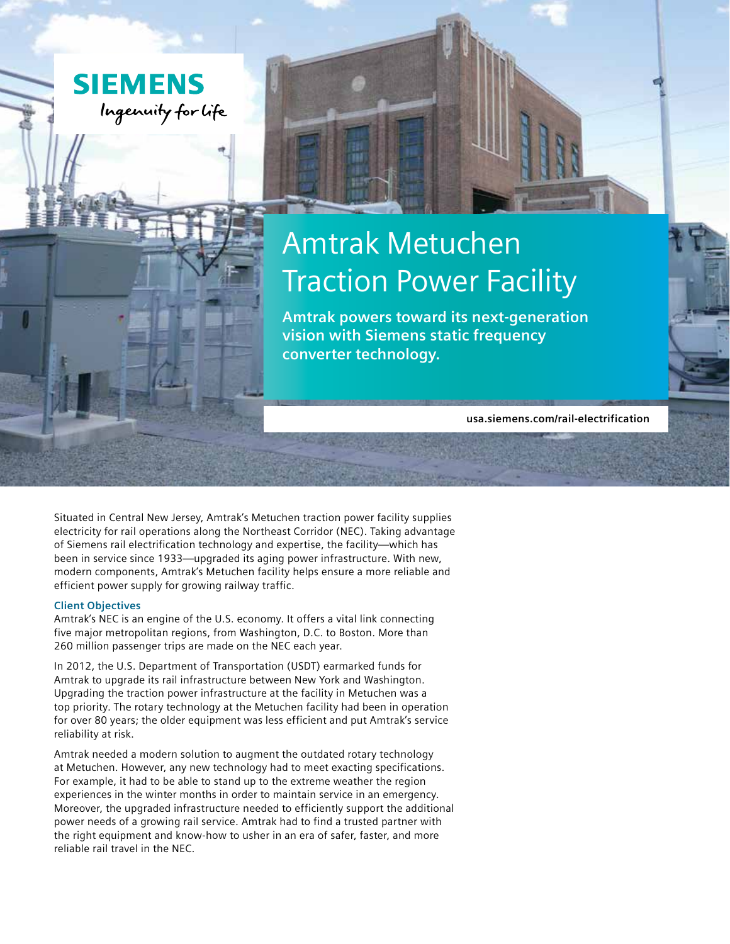

# Amtrak Metuchen Traction Power Facility

**Amtrak powers toward its next-generation vision with Siemens static frequency converter technology.**

**usa.siemens.com/rail-electrification**

Situated in Central New Jersey, Amtrak's Metuchen traction power facility supplies electricity for rail operations along the Northeast Corridor (NEC). Taking advantage of Siemens rail electrification technology and expertise, the facility—which has been in service since 1933—upgraded its aging power infrastructure. With new, modern components, Amtrak's Metuchen facility helps ensure a more reliable and efficient power supply for growing railway traffic.

### **Client Objectives**

Amtrak's NEC is an engine of the U.S. economy. It offers a vital link connecting five major metropolitan regions, from Washington, D.C. to Boston. More than 260 million passenger trips are made on the NEC each year.

In 2012, the U.S. Department of Transportation (USDT) earmarked funds for Amtrak to upgrade its rail infrastructure between New York and Washington. Upgrading the traction power infrastructure at the facility in Metuchen was a top priority. The rotary technology at the Metuchen facility had been in operation for over 80 years; the older equipment was less efficient and put Amtrak's service reliability at risk.

Amtrak needed a modern solution to augment the outdated rotary technology at Metuchen. However, any new technology had to meet exacting specifications. For example, it had to be able to stand up to the extreme weather the region experiences in the winter months in order to maintain service in an emergency. Moreover, the upgraded infrastructure needed to efficiently support the additional power needs of a growing rail service. Amtrak had to find a trusted partner with the right equipment and know-how to usher in an era of safer, faster, and more reliable rail travel in the NEC.